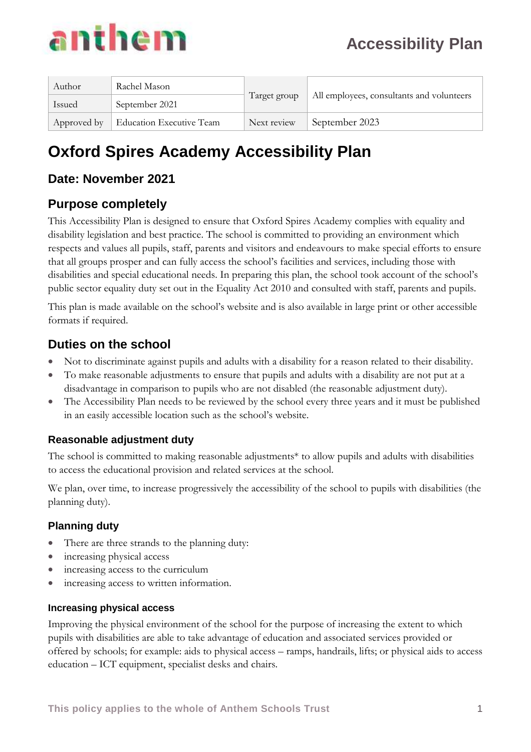| Author      | Rachel Mason                    |              |                                           |  |
|-------------|---------------------------------|--------------|-------------------------------------------|--|
| Issued      | September 2021                  | Target group | All employees, consultants and volunteers |  |
| Approved by | <b>Education Executive Team</b> | Next review  | September 2023                            |  |

## **Oxford Spires Academy Accessibility Plan**

### **Date: November 2021**

### **Purpose completely**

This Accessibility Plan is designed to ensure that Oxford Spires Academy complies with equality and disability legislation and best practice. The school is committed to providing an environment which respects and values all pupils, staff, parents and visitors and endeavours to make special efforts to ensure that all groups prosper and can fully access the school's facilities and services, including those with disabilities and special educational needs. In preparing this plan, the school took account of the school's public sector equality duty set out in the Equality Act 2010 and consulted with staff, parents and pupils.

This plan is made available on the school's website and is also available in large print or other accessible formats if required.

### **Duties on the school**

- Not to discriminate against pupils and adults with a disability for a reason related to their disability.
- To make reasonable adjustments to ensure that pupils and adults with a disability are not put at a disadvantage in comparison to pupils who are not disabled (the reasonable adjustment duty).
- The Accessibility Plan needs to be reviewed by the school every three years and it must be published in an easily accessible location such as the school's website.

#### **Reasonable adjustment duty**

The school is committed to making reasonable adjustments\* to allow pupils and adults with disabilities to access the educational provision and related services at the school.

We plan, over time, to increase progressively the accessibility of the school to pupils with disabilities (the planning duty).

#### **Planning duty**

- There are three strands to the planning duty:
- increasing physical access
- increasing access to the curriculum
- increasing access to written information.

#### **Increasing physical access**

Improving the physical environment of the school for the purpose of increasing the extent to which pupils with disabilities are able to take advantage of education and associated services provided or offered by schools; for example: aids to physical access – ramps, handrails, lifts; or physical aids to access education – ICT equipment, specialist desks and chairs.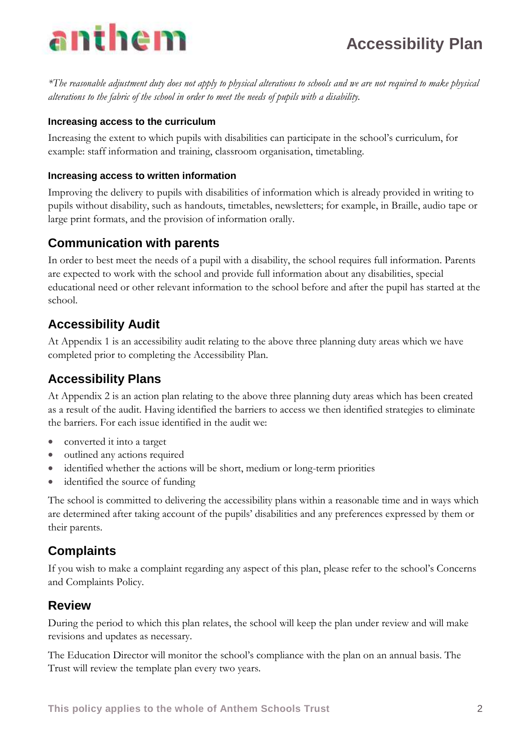

*\*The reasonable adjustment duty does not apply to physical alterations to schools and we are not required to make physical alterations to the fabric of the school in order to meet the needs of pupils with a disability.*

#### **Increasing access to the curriculum**

Increasing the extent to which pupils with disabilities can participate in the school's curriculum, for example: staff information and training, classroom organisation, timetabling.

#### **Increasing access to written information**

Improving the delivery to pupils with disabilities of information which is already provided in writing to pupils without disability, such as handouts, timetables, newsletters; for example, in Braille, audio tape or large print formats, and the provision of information orally.

#### **Communication with parents**

In order to best meet the needs of a pupil with a disability, the school requires full information. Parents are expected to work with the school and provide full information about any disabilities, special educational need or other relevant information to the school before and after the pupil has started at the school.

### **Accessibility Audit**

At Appendix 1 is an accessibility audit relating to the above three planning duty areas which we have completed prior to completing the Accessibility Plan.

### **Accessibility Plans**

At Appendix 2 is an action plan relating to the above three planning duty areas which has been created as a result of the audit. Having identified the barriers to access we then identified strategies to eliminate the barriers. For each issue identified in the audit we:

- converted it into a target
- outlined any actions required
- identified whether the actions will be short, medium or long-term priorities
- identified the source of funding

The school is committed to delivering the accessibility plans within a reasonable time and in ways which are determined after taking account of the pupils' disabilities and any preferences expressed by them or their parents.

#### **Complaints**

If you wish to make a complaint regarding any aspect of this plan, please refer to the school's Concerns and Complaints Policy.

#### **Review**

During the period to which this plan relates, the school will keep the plan under review and will make revisions and updates as necessary.

The Education Director will monitor the school's compliance with the plan on an annual basis. The Trust will review the template plan every two years.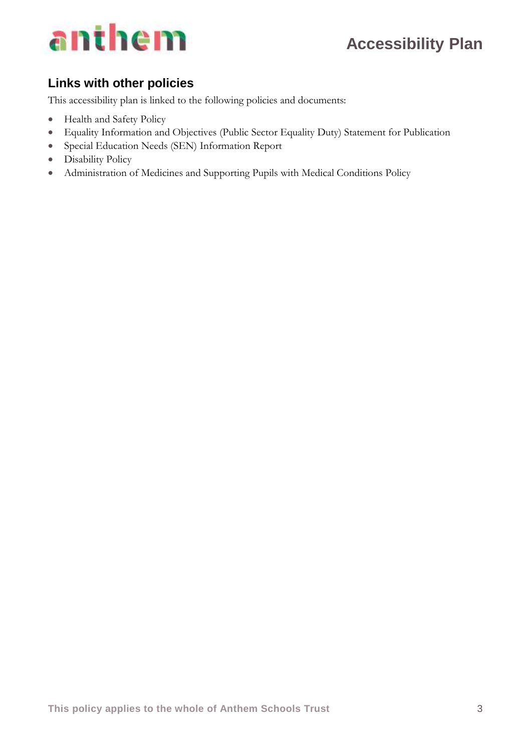

### **Links with other policies**

This accessibility plan is linked to the following policies and documents:

- Health and Safety Policy
- Equality Information and Objectives (Public Sector Equality Duty) Statement for Publication
- Special Education Needs (SEN) Information Report
- Disability Policy
- Administration of Medicines and Supporting Pupils with Medical Conditions Policy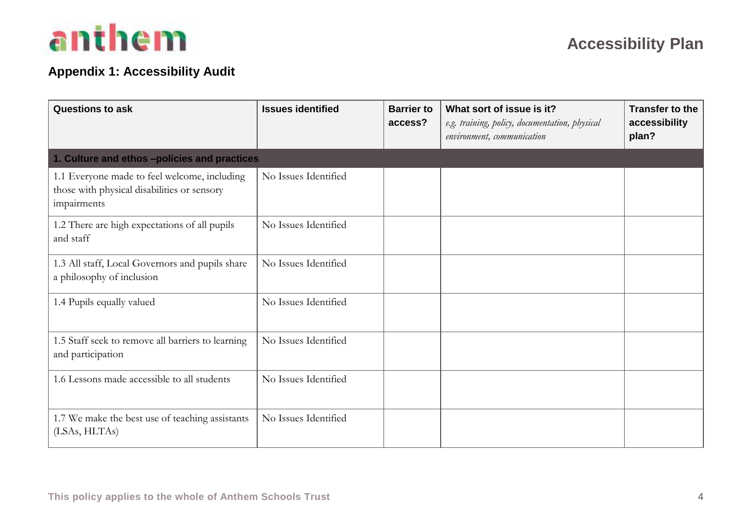

### **Appendix 1: Accessibility Audit**

| <b>Questions to ask</b>                                                                                    | <b>Issues identified</b> | <b>Barrier to</b><br>access? | What sort of issue is it?<br>e.g. training, policy, documentation, physical<br>environment, communication | <b>Transfer to the</b><br>accessibility<br>plan? |
|------------------------------------------------------------------------------------------------------------|--------------------------|------------------------------|-----------------------------------------------------------------------------------------------------------|--------------------------------------------------|
| 1. Culture and ethos -policies and practices                                                               |                          |                              |                                                                                                           |                                                  |
| 1.1 Everyone made to feel welcome, including<br>those with physical disabilities or sensory<br>impairments | No Issues Identified     |                              |                                                                                                           |                                                  |
| 1.2 There are high expectations of all pupils<br>and staff                                                 | No Issues Identified     |                              |                                                                                                           |                                                  |
| 1.3 All staff, Local Governors and pupils share<br>a philosophy of inclusion                               | No Issues Identified     |                              |                                                                                                           |                                                  |
| 1.4 Pupils equally valued                                                                                  | No Issues Identified     |                              |                                                                                                           |                                                  |
| 1.5 Staff seek to remove all barriers to learning<br>and participation                                     | No Issues Identified     |                              |                                                                                                           |                                                  |
| 1.6 Lessons made accessible to all students                                                                | No Issues Identified     |                              |                                                                                                           |                                                  |
| 1.7 We make the best use of teaching assistants<br>(LSAs, HLTAs)                                           | No Issues Identified     |                              |                                                                                                           |                                                  |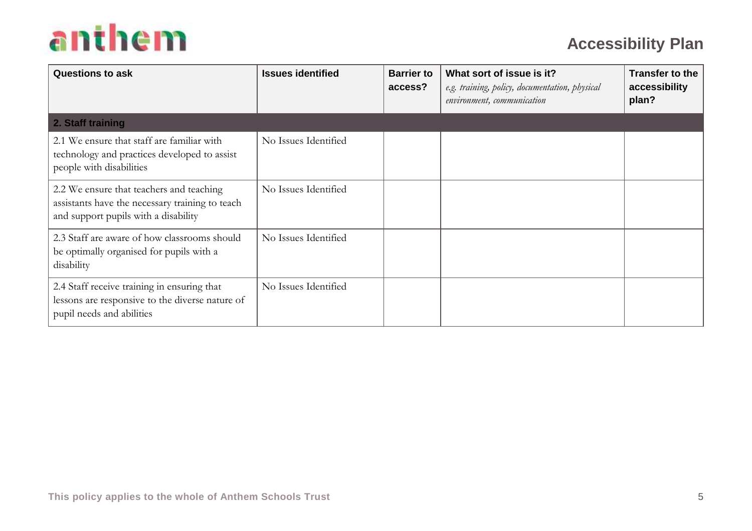| <b>Questions to ask</b>                                                                                                             | <b>Issues identified</b> | <b>Barrier to</b><br>access? | What sort of issue is it?<br>e.g. training, policy, documentation, physical<br>environment, communication | <b>Transfer to the</b><br>accessibility<br>plan? |
|-------------------------------------------------------------------------------------------------------------------------------------|--------------------------|------------------------------|-----------------------------------------------------------------------------------------------------------|--------------------------------------------------|
| 2. Staff training                                                                                                                   |                          |                              |                                                                                                           |                                                  |
| 2.1 We ensure that staff are familiar with<br>technology and practices developed to assist<br>people with disabilities              | No Issues Identified     |                              |                                                                                                           |                                                  |
| 2.2 We ensure that teachers and teaching<br>assistants have the necessary training to teach<br>and support pupils with a disability | No Issues Identified     |                              |                                                                                                           |                                                  |
| 2.3 Staff are aware of how classrooms should<br>be optimally organised for pupils with a<br>disability                              | No Issues Identified     |                              |                                                                                                           |                                                  |
| 2.4 Staff receive training in ensuring that<br>lessons are responsive to the diverse nature of<br>pupil needs and abilities         | No Issues Identified     |                              |                                                                                                           |                                                  |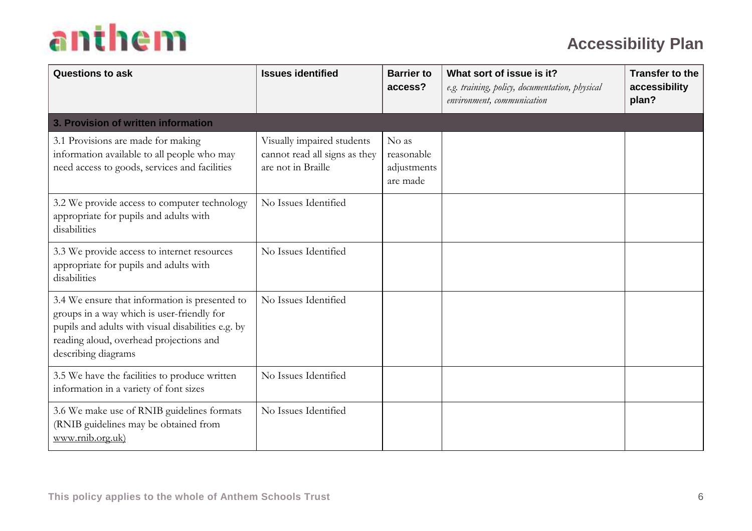| <b>Questions to ask</b>                                                                                                                                                                                              | <b>Issues identified</b>                                                          | <b>Barrier to</b><br>access?                   | What sort of issue is it?<br>e.g. training, policy, documentation, physical<br>environment, communication | <b>Transfer to the</b><br>accessibility<br>plan? |
|----------------------------------------------------------------------------------------------------------------------------------------------------------------------------------------------------------------------|-----------------------------------------------------------------------------------|------------------------------------------------|-----------------------------------------------------------------------------------------------------------|--------------------------------------------------|
| 3. Provision of written information                                                                                                                                                                                  |                                                                                   |                                                |                                                                                                           |                                                  |
| 3.1 Provisions are made for making<br>information available to all people who may<br>need access to goods, services and facilities                                                                                   | Visually impaired students<br>cannot read all signs as they<br>are not in Braille | No as<br>reasonable<br>adjustments<br>are made |                                                                                                           |                                                  |
| 3.2 We provide access to computer technology<br>appropriate for pupils and adults with<br>disabilities                                                                                                               | No Issues Identified                                                              |                                                |                                                                                                           |                                                  |
| 3.3 We provide access to internet resources<br>appropriate for pupils and adults with<br>disabilities                                                                                                                | No Issues Identified                                                              |                                                |                                                                                                           |                                                  |
| 3.4 We ensure that information is presented to<br>groups in a way which is user-friendly for<br>pupils and adults with visual disabilities e.g. by<br>reading aloud, overhead projections and<br>describing diagrams | No Issues Identified                                                              |                                                |                                                                                                           |                                                  |
| 3.5 We have the facilities to produce written<br>information in a variety of font sizes                                                                                                                              | No Issues Identified                                                              |                                                |                                                                                                           |                                                  |
| 3.6 We make use of RNIB guidelines formats<br>(RNIB guidelines may be obtained from<br>www.rnib.org.uk)                                                                                                              | No Issues Identified                                                              |                                                |                                                                                                           |                                                  |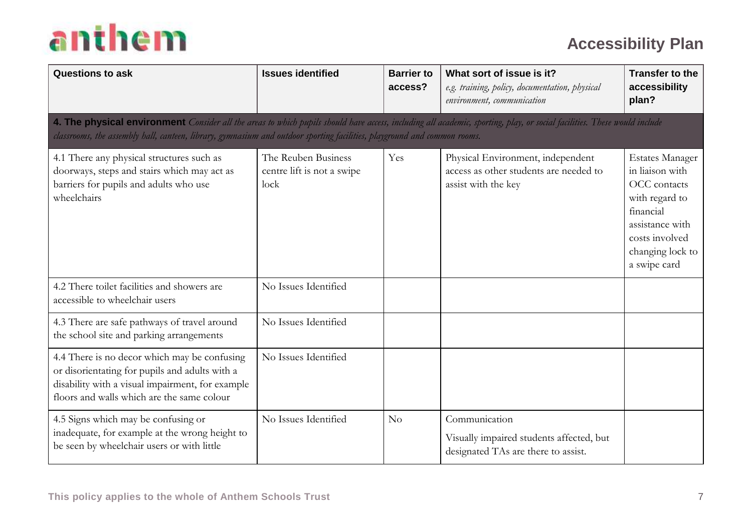| <b>Questions to ask</b>                                                                                                                                                                                                                                                                              | <b>Issues identified</b>                                  | <b>Barrier to</b><br>access? | What sort of issue is it?<br>e.g. training, policy, documentation, physical<br>environment, communication | <b>Transfer to the</b><br>accessibility<br>plan?                                                                                                                  |
|------------------------------------------------------------------------------------------------------------------------------------------------------------------------------------------------------------------------------------------------------------------------------------------------------|-----------------------------------------------------------|------------------------------|-----------------------------------------------------------------------------------------------------------|-------------------------------------------------------------------------------------------------------------------------------------------------------------------|
| 4. The physical environment Consider all the areas to which pupils should have access, including all academic, sporting, play, or social facilities. These would include<br>classrooms, the assembly hall, canteen, library, gymnasium and outdoor sporting facilities, playground and common rooms. |                                                           |                              |                                                                                                           |                                                                                                                                                                   |
| 4.1 There any physical structures such as<br>doorways, steps and stairs which may act as<br>barriers for pupils and adults who use<br>wheelchairs                                                                                                                                                    | The Reuben Business<br>centre lift is not a swipe<br>lock | Yes                          | Physical Environment, independent<br>access as other students are needed to<br>assist with the key        | <b>Estates Manager</b><br>in liaison with<br>OCC contacts<br>with regard to<br>financial<br>assistance with<br>costs involved<br>changing lock to<br>a swipe card |
| 4.2 There toilet facilities and showers are<br>accessible to wheelchair users                                                                                                                                                                                                                        | No Issues Identified                                      |                              |                                                                                                           |                                                                                                                                                                   |
| 4.3 There are safe pathways of travel around<br>the school site and parking arrangements                                                                                                                                                                                                             | No Issues Identified                                      |                              |                                                                                                           |                                                                                                                                                                   |
| 4.4 There is no decor which may be confusing<br>or disorientating for pupils and adults with a<br>disability with a visual impairment, for example<br>floors and walls which are the same colour                                                                                                     | No Issues Identified                                      |                              |                                                                                                           |                                                                                                                                                                   |
| 4.5 Signs which may be confusing or<br>inadequate, for example at the wrong height to<br>be seen by wheelchair users or with little                                                                                                                                                                  | No Issues Identified                                      | No                           | Communication<br>Visually impaired students affected, but<br>designated TAs are there to assist.          |                                                                                                                                                                   |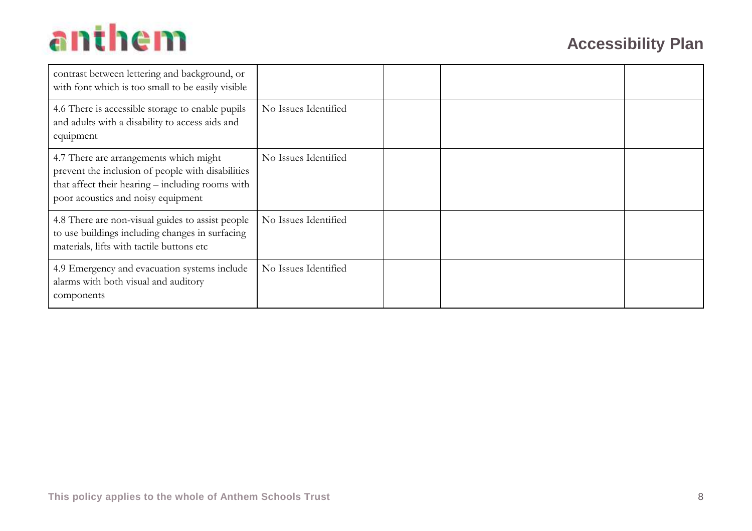| contrast between lettering and background, or<br>with font which is too small to be easily visible                                                                                    |                      |  |  |
|---------------------------------------------------------------------------------------------------------------------------------------------------------------------------------------|----------------------|--|--|
| 4.6 There is accessible storage to enable pupils<br>and adults with a disability to access aids and<br>equipment                                                                      | No Issues Identified |  |  |
| 4.7 There are arrangements which might<br>prevent the inclusion of people with disabilities<br>that affect their hearing - including rooms with<br>poor acoustics and noisy equipment | No Issues Identified |  |  |
| 4.8 There are non-visual guides to assist people<br>to use buildings including changes in surfacing<br>materials, lifts with tactile buttons etc                                      | No Issues Identified |  |  |
| 4.9 Emergency and evacuation systems include<br>alarms with both visual and auditory<br>components                                                                                    | No Issues Identified |  |  |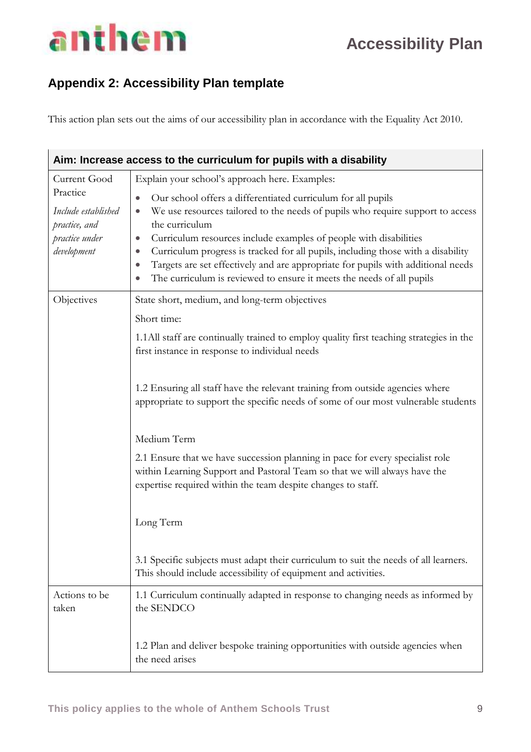### **Appendix 2: Accessibility Plan template**

This action plan sets out the aims of our accessibility plan in accordance with the Equality Act 2010.

|                                 | Aim: Increase access to the curriculum for pupils with a disability                                                                                                                                                        |
|---------------------------------|----------------------------------------------------------------------------------------------------------------------------------------------------------------------------------------------------------------------------|
| Current Good                    | Explain your school's approach here. Examples:                                                                                                                                                                             |
| Practice                        | Our school offers a differentiated curriculum for all pupils<br>$\bullet$                                                                                                                                                  |
| Include established             | We use resources tailored to the needs of pupils who require support to access<br>$\bullet$<br>the curriculum                                                                                                              |
| practice, and<br>practice under | Curriculum resources include examples of people with disabilities<br>$\bullet$                                                                                                                                             |
| development                     | Curriculum progress is tracked for all pupils, including those with a disability<br>$\bullet$                                                                                                                              |
|                                 | Targets are set effectively and are appropriate for pupils with additional needs<br>$\bullet$<br>The curriculum is reviewed to ensure it meets the needs of all pupils                                                     |
|                                 |                                                                                                                                                                                                                            |
| Objectives                      | State short, medium, and long-term objectives                                                                                                                                                                              |
|                                 | Short time:                                                                                                                                                                                                                |
|                                 | 1.1 All staff are continually trained to employ quality first teaching strategies in the<br>first instance in response to individual needs                                                                                 |
|                                 | 1.2 Ensuring all staff have the relevant training from outside agencies where<br>appropriate to support the specific needs of some of our most vulnerable students                                                         |
|                                 | Medium Term                                                                                                                                                                                                                |
|                                 | 2.1 Ensure that we have succession planning in pace for every specialist role<br>within Learning Support and Pastoral Team so that we will always have the<br>expertise required within the team despite changes to staff. |
|                                 |                                                                                                                                                                                                                            |
|                                 | Long Term                                                                                                                                                                                                                  |
|                                 | 3.1 Specific subjects must adapt their curriculum to suit the needs of all learners.<br>This should include accessibility of equipment and activities.                                                                     |
| Actions to be<br>taken          | 1.1 Curriculum continually adapted in response to changing needs as informed by<br>the SENDCO                                                                                                                              |
|                                 | 1.2 Plan and deliver bespoke training opportunities with outside agencies when<br>the need arises                                                                                                                          |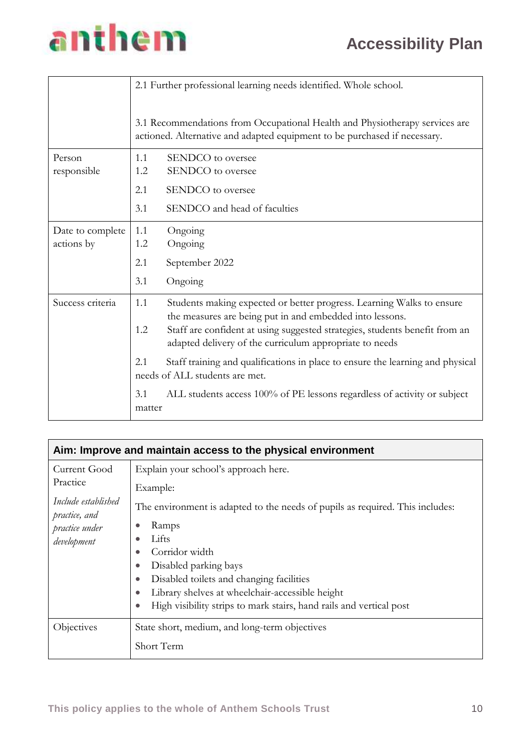## anthem

|                  |               | 2.1 Further professional learning needs identified. Whole school.                                                                                        |
|------------------|---------------|----------------------------------------------------------------------------------------------------------------------------------------------------------|
|                  |               | 3.1 Recommendations from Occupational Health and Physiotherapy services are<br>actioned. Alternative and adapted equipment to be purchased if necessary. |
| Person           | 1.1           | SENDCO to oversee                                                                                                                                        |
| responsible      | 1.2           | SENDCO to oversee                                                                                                                                        |
|                  | 2.1           | SENDCO to oversee                                                                                                                                        |
|                  | 3.1           | SENDCO and head of faculties                                                                                                                             |
| Date to complete | 1.1           | Ongoing                                                                                                                                                  |
| actions by       | 1.2           | Ongoing                                                                                                                                                  |
|                  | 2.1           | September 2022                                                                                                                                           |
|                  | 3.1           | Ongoing                                                                                                                                                  |
| Success criteria | 1.1           | Students making expected or better progress. Learning Walks to ensure<br>the measures are being put in and embedded into lessons.                        |
|                  | 1.2           | Staff are confident at using suggested strategies, students benefit from an<br>adapted delivery of the curriculum appropriate to needs                   |
|                  | 2.1           | Staff training and qualifications in place to ensure the learning and physical<br>needs of ALL students are met.                                         |
|                  | 3.1<br>matter | ALL students access 100% of PE lessons regardless of activity or subject                                                                                 |

|                                                                                                   | Aim: Improve and maintain access to the physical environment                                                                                                                                                                                                                                                                                                                                                |
|---------------------------------------------------------------------------------------------------|-------------------------------------------------------------------------------------------------------------------------------------------------------------------------------------------------------------------------------------------------------------------------------------------------------------------------------------------------------------------------------------------------------------|
| Current Good<br>Practice<br>Include established<br>practice, and<br>practice under<br>development | Explain your school's approach here.<br>Example:<br>The environment is adapted to the needs of pupils as required. This includes:<br>Ramps<br>Lifts<br>Corridor width<br>Disabled parking bays<br>$\bullet$<br>Disabled toilets and changing facilities<br>Library shelves at wheelchair-accessible height<br>$\bullet$<br>High visibility strips to mark stairs, hand rails and vertical post<br>$\bullet$ |
| Objectives                                                                                        | State short, medium, and long-term objectives<br>Short Term                                                                                                                                                                                                                                                                                                                                                 |
|                                                                                                   |                                                                                                                                                                                                                                                                                                                                                                                                             |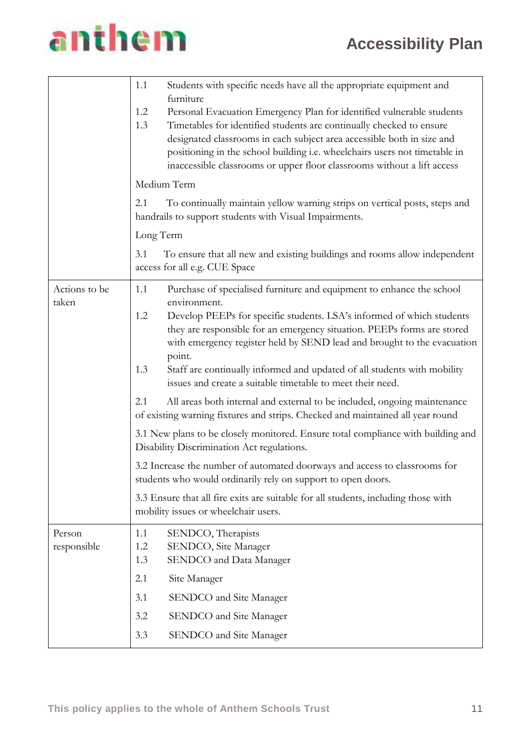|                        | Students with specific needs have all the appropriate equipment and<br>1.1<br>furniture<br>1.2<br>Personal Evacuation Emergency Plan for identified vulnerable students<br>Timetables for identified students are continually checked to ensure<br>1.3<br>designated classrooms in each subject area accessible both in size and<br>positioning in the school building i.e. wheelchairs users not timetable in<br>inaccessible classrooms or upper floor classrooms without a lift access<br>Medium Term<br>2.1<br>To continually maintain yellow warning strips on vertical posts, steps and<br>handrails to support students with Visual Impairments.<br>Long Term<br>To ensure that all new and existing buildings and rooms allow independent<br>3.1                                                                                                                                                                                           |
|------------------------|----------------------------------------------------------------------------------------------------------------------------------------------------------------------------------------------------------------------------------------------------------------------------------------------------------------------------------------------------------------------------------------------------------------------------------------------------------------------------------------------------------------------------------------------------------------------------------------------------------------------------------------------------------------------------------------------------------------------------------------------------------------------------------------------------------------------------------------------------------------------------------------------------------------------------------------------------|
|                        | access for all e.g. CUE Space                                                                                                                                                                                                                                                                                                                                                                                                                                                                                                                                                                                                                                                                                                                                                                                                                                                                                                                      |
| Actions to be<br>taken | Purchase of specialised furniture and equipment to enhance the school<br>1.1<br>environment.<br>1.2<br>Develop PEEPs for specific students. LSA's informed of which students<br>they are responsible for an emergency situation. PEEPs forms are stored<br>with emergency register held by SEND lead and brought to the evacuation<br>point.<br>Staff are continually informed and updated of all students with mobility<br>1.3<br>issues and create a suitable timetable to meet their need.<br>2.1<br>All areas both internal and external to be included, ongoing maintenance<br>of existing warning fixtures and strips. Checked and maintained all year round<br>3.1 New plans to be closely monitored. Ensure total compliance with building and<br>Disability Discrimination Act regulations.<br>3.2 Increase the number of automated doorways and access to classrooms for<br>students who would ordinarily rely on support to open doors. |
|                        | 3.3 Ensure that all fire exits are suitable for all students, including those with<br>mobility issues or wheelchair users.                                                                                                                                                                                                                                                                                                                                                                                                                                                                                                                                                                                                                                                                                                                                                                                                                         |
| Person<br>responsible  | SENDCO, Therapists<br>1.1<br>SENDCO, Site Manager<br>1.2<br>SENDCO and Data Manager<br>1.3<br>2.1<br>Site Manager<br>3.1<br>SENDCO and Site Manager<br>3.2<br>SENDCO and Site Manager<br>3.3<br>SENDCO and Site Manager                                                                                                                                                                                                                                                                                                                                                                                                                                                                                                                                                                                                                                                                                                                            |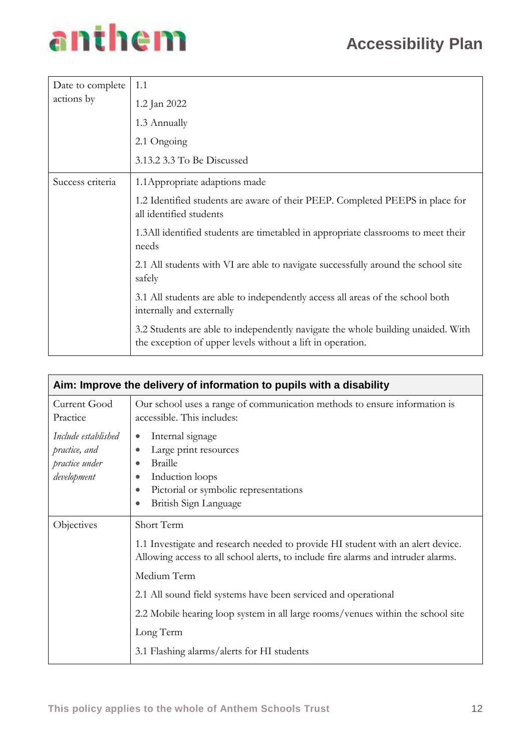

| Date to complete | 1.1                                                                                                                                            |
|------------------|------------------------------------------------------------------------------------------------------------------------------------------------|
| actions by       | 1.2 Jan 2022                                                                                                                                   |
|                  | 1.3 Annually                                                                                                                                   |
|                  | 2.1 Ongoing                                                                                                                                    |
|                  | 3.13.2 3.3 To Be Discussed                                                                                                                     |
| Success criteria | 1.1 Appropriate adaptions made                                                                                                                 |
|                  | 1.2 Identified students are aware of their PEEP. Completed PEEPS in place for<br>all identified students                                       |
|                  | 1.3All identified students are timetabled in appropriate classrooms to meet their<br>needs                                                     |
|                  | 2.1 All students with VI are able to navigate successfully around the school site<br>safely                                                    |
|                  | 3.1 All students are able to independently access all areas of the school both<br>internally and externally                                    |
|                  | 3.2 Students are able to independently navigate the whole building unaided. With<br>the exception of upper levels without a lift in operation. |

|                                                                       | Aim: Improve the delivery of information to pupils with a disability                                                                                                                                                           |
|-----------------------------------------------------------------------|--------------------------------------------------------------------------------------------------------------------------------------------------------------------------------------------------------------------------------|
| Current Good<br>Practice                                              | Our school uses a range of communication methods to ensure information is<br>accessible. This includes:                                                                                                                        |
| Include established<br>practice, and<br>practice under<br>development | Internal signage<br>$\bullet$<br>Large print resources<br>$\bullet$<br><b>Braille</b><br>$\bullet$<br>Induction loops<br>$\bullet$<br>Pictorial or symbolic representations<br>$\bullet$<br>British Sign Language<br>$\bullet$ |
| Objectives                                                            | Short Term                                                                                                                                                                                                                     |
|                                                                       | 1.1 Investigate and research needed to provide HI student with an alert device.<br>Allowing access to all school alerts, to include fire alarms and intruder alarms.                                                           |
|                                                                       | Medium Term                                                                                                                                                                                                                    |
|                                                                       | 2.1 All sound field systems have been serviced and operational                                                                                                                                                                 |
|                                                                       | 2.2 Mobile hearing loop system in all large rooms/venues within the school site                                                                                                                                                |
|                                                                       | Long Term                                                                                                                                                                                                                      |
|                                                                       | 3.1 Flashing alarms/alerts for HI students                                                                                                                                                                                     |